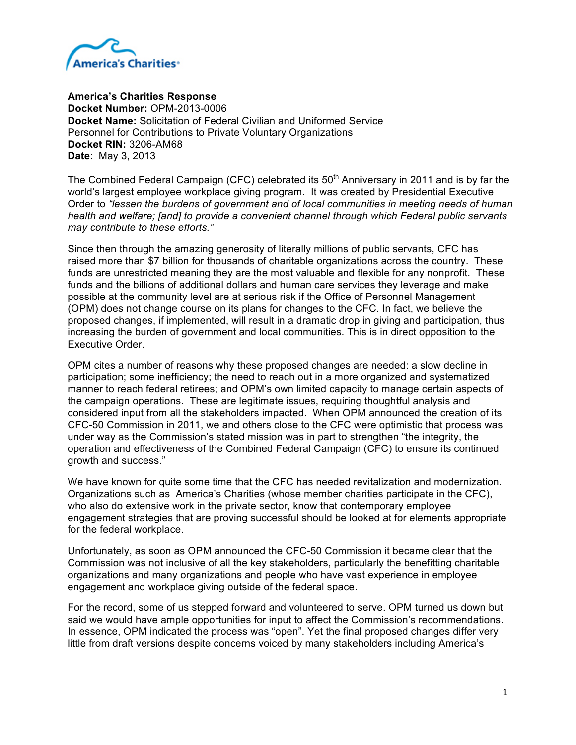

**America's Charities Response** 

**Docket Number:** OPM-2013-0006 **Docket Name:** Solicitation of Federal Civilian and Uniformed Service Personnel for Contributions to Private Voluntary Organizations **Docket RIN:** 3206-AM68 **Date**: May 3, 2013

The Combined Federal Campaign (CFC) celebrated its  $50<sup>th</sup>$  Anniversary in 2011 and is by far the world's largest employee workplace giving program. It was created by Presidential Executive Order to *"lessen the burdens of government and of local communities in meeting needs of human health and welfare; [and] to provide a convenient channel through which Federal public servants may contribute to these efforts."*

Since then through the amazing generosity of literally millions of public servants, CFC has raised more than \$7 billion for thousands of charitable organizations across the country. These funds are unrestricted meaning they are the most valuable and flexible for any nonprofit. These funds and the billions of additional dollars and human care services they leverage and make possible at the community level are at serious risk if the Office of Personnel Management (OPM) does not change course on its plans for changes to the CFC. In fact, we believe the proposed changes, if implemented, will result in a dramatic drop in giving and participation, thus increasing the burden of government and local communities. This is in direct opposition to the Executive Order.

OPM cites a number of reasons why these proposed changes are needed: a slow decline in participation; some inefficiency; the need to reach out in a more organized and systematized manner to reach federal retirees; and OPM's own limited capacity to manage certain aspects of the campaign operations. These are legitimate issues, requiring thoughtful analysis and considered input from all the stakeholders impacted. When OPM announced the creation of its CFC-50 Commission in 2011, we and others close to the CFC were optimistic that process was under way as the Commission's stated mission was in part to strengthen "the integrity, the operation and effectiveness of the Combined Federal Campaign (CFC) to ensure its continued growth and success."

We have known for quite some time that the CFC has needed revitalization and modernization. Organizations such as America's Charities (whose member charities participate in the CFC), who also do extensive work in the private sector, know that contemporary employee engagement strategies that are proving successful should be looked at for elements appropriate for the federal workplace.

Unfortunately, as soon as OPM announced the CFC-50 Commission it became clear that the Commission was not inclusive of all the key stakeholders, particularly the benefitting charitable organizations and many organizations and people who have vast experience in employee engagement and workplace giving outside of the federal space.

For the record, some of us stepped forward and volunteered to serve. OPM turned us down but said we would have ample opportunities for input to affect the Commission's recommendations. In essence, OPM indicated the process was "open". Yet the final proposed changes differ very little from draft versions despite concerns voiced by many stakeholders including America's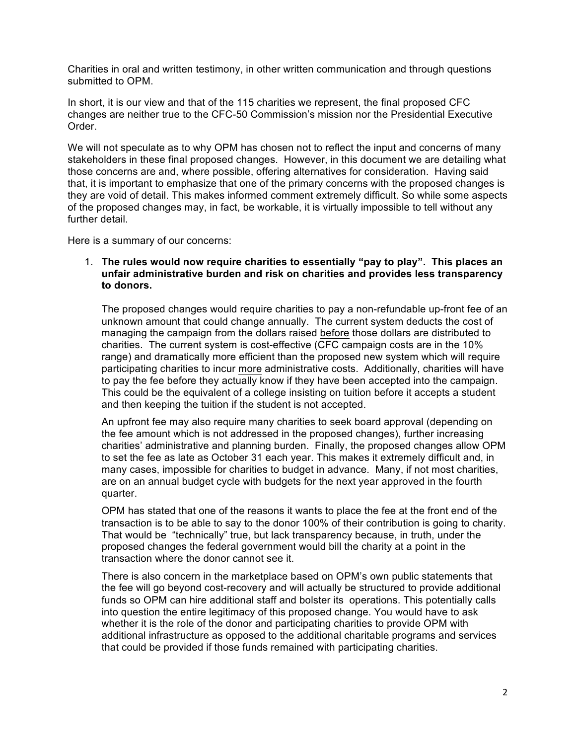Charities in oral and written testimony, in other written communication and through questions submitted to OPM.

In short, it is our view and that of the 115 charities we represent, the final proposed CFC changes are neither true to the CFC-50 Commission's mission nor the Presidential Executive Order.

We will not speculate as to why OPM has chosen not to reflect the input and concerns of many stakeholders in these final proposed changes. However, in this document we are detailing what those concerns are and, where possible, offering alternatives for consideration. Having said that, it is important to emphasize that one of the primary concerns with the proposed changes is they are void of detail. This makes informed comment extremely difficult. So while some aspects of the proposed changes may, in fact, be workable, it is virtually impossible to tell without any further detail.

Here is a summary of our concerns:

## 1. **The rules would now require charities to essentially "pay to play". This places an unfair administrative burden and risk on charities and provides less transparency to donors.**

The proposed changes would require charities to pay a non-refundable up-front fee of an unknown amount that could change annually. The current system deducts the cost of managing the campaign from the dollars raised before those dollars are distributed to charities. The current system is cost-effective (CFC campaign costs are in the 10% range) and dramatically more efficient than the proposed new system which will require participating charities to incur more administrative costs. Additionally, charities will have to pay the fee before they actually know if they have been accepted into the campaign. This could be the equivalent of a college insisting on tuition before it accepts a student and then keeping the tuition if the student is not accepted.

An upfront fee may also require many charities to seek board approval (depending on the fee amount which is not addressed in the proposed changes), further increasing charities' administrative and planning burden. Finally, the proposed changes allow OPM to set the fee as late as October 31 each year. This makes it extremely difficult and, in many cases, impossible for charities to budget in advance. Many, if not most charities, are on an annual budget cycle with budgets for the next year approved in the fourth quarter.

OPM has stated that one of the reasons it wants to place the fee at the front end of the transaction is to be able to say to the donor 100% of their contribution is going to charity. That would be "technically" true, but lack transparency because, in truth, under the proposed changes the federal government would bill the charity at a point in the transaction where the donor cannot see it.

There is also concern in the marketplace based on OPM's own public statements that the fee will go beyond cost-recovery and will actually be structured to provide additional funds so OPM can hire additional staff and bolster its operations. This potentially calls into question the entire legitimacy of this proposed change. You would have to ask whether it is the role of the donor and participating charities to provide OPM with additional infrastructure as opposed to the additional charitable programs and services that could be provided if those funds remained with participating charities.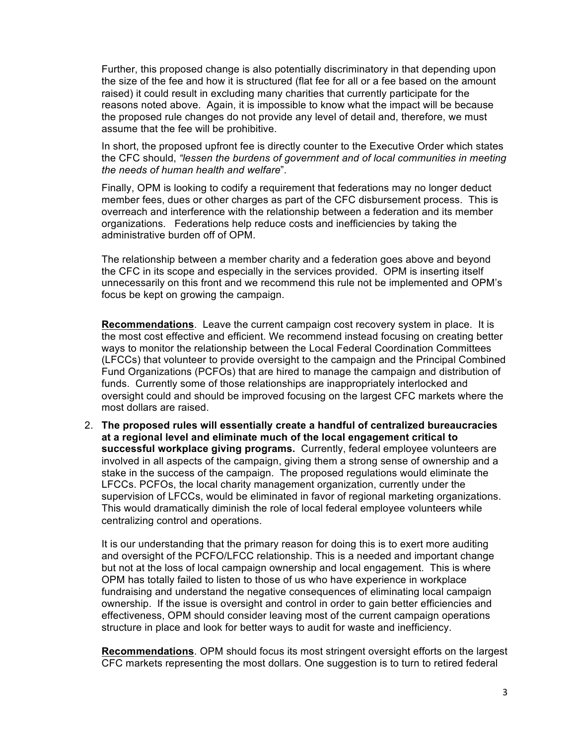Further, this proposed change is also potentially discriminatory in that depending upon the size of the fee and how it is structured (flat fee for all or a fee based on the amount raised) it could result in excluding many charities that currently participate for the reasons noted above. Again, it is impossible to know what the impact will be because the proposed rule changes do not provide any level of detail and, therefore, we must assume that the fee will be prohibitive.

In short, the proposed upfront fee is directly counter to the Executive Order which states the CFC should, *"lessen the burdens of government and of local communities in meeting the needs of human health and welfare*".

Finally, OPM is looking to codify a requirement that federations may no longer deduct member fees, dues or other charges as part of the CFC disbursement process. This is overreach and interference with the relationship between a federation and its member organizations. Federations help reduce costs and inefficiencies by taking the administrative burden off of OPM.

The relationship between a member charity and a federation goes above and beyond the CFC in its scope and especially in the services provided. OPM is inserting itself unnecessarily on this front and we recommend this rule not be implemented and OPM's focus be kept on growing the campaign.

**Recommendations**. Leave the current campaign cost recovery system in place. It is the most cost effective and efficient. We recommend instead focusing on creating better ways to monitor the relationship between the Local Federal Coordination Committees (LFCCs) that volunteer to provide oversight to the campaign and the Principal Combined Fund Organizations (PCFOs) that are hired to manage the campaign and distribution of funds. Currently some of those relationships are inappropriately interlocked and oversight could and should be improved focusing on the largest CFC markets where the most dollars are raised.

2. **The proposed rules will essentially create a handful of centralized bureaucracies at a regional level and eliminate much of the local engagement critical to successful workplace giving programs.** Currently, federal employee volunteers are involved in all aspects of the campaign, giving them a strong sense of ownership and a stake in the success of the campaign. The proposed regulations would eliminate the LFCCs. PCFOs, the local charity management organization, currently under the supervision of LFCCs, would be eliminated in favor of regional marketing organizations. This would dramatically diminish the role of local federal employee volunteers while centralizing control and operations.

It is our understanding that the primary reason for doing this is to exert more auditing and oversight of the PCFO/LFCC relationship. This is a needed and important change but not at the loss of local campaign ownership and local engagement. This is where OPM has totally failed to listen to those of us who have experience in workplace fundraising and understand the negative consequences of eliminating local campaign ownership. If the issue is oversight and control in order to gain better efficiencies and effectiveness, OPM should consider leaving most of the current campaign operations structure in place and look for better ways to audit for waste and inefficiency.

**Recommendations**. OPM should focus its most stringent oversight efforts on the largest CFC markets representing the most dollars. One suggestion is to turn to retired federal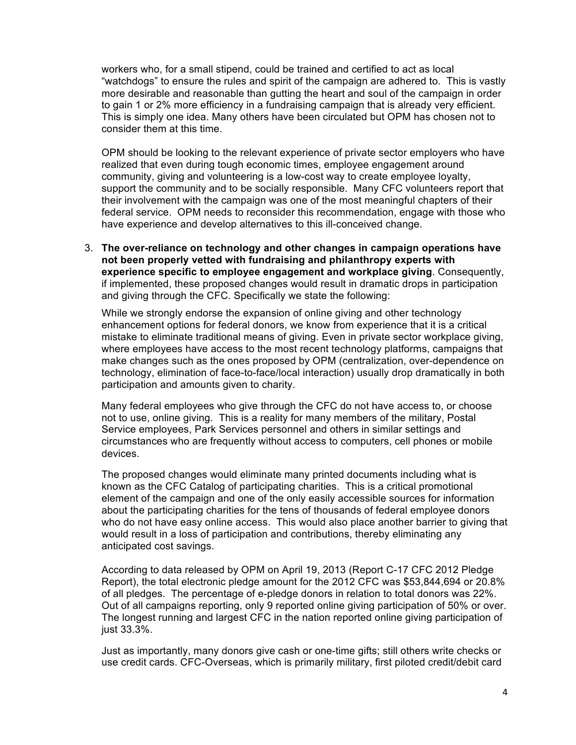workers who, for a small stipend, could be trained and certified to act as local "watchdogs" to ensure the rules and spirit of the campaign are adhered to. This is vastly more desirable and reasonable than gutting the heart and soul of the campaign in order to gain 1 or 2% more efficiency in a fundraising campaign that is already very efficient. This is simply one idea. Many others have been circulated but OPM has chosen not to consider them at this time.

OPM should be looking to the relevant experience of private sector employers who have realized that even during tough economic times, employee engagement around community, giving and volunteering is a low-cost way to create employee loyalty, support the community and to be socially responsible. Many CFC volunteers report that their involvement with the campaign was one of the most meaningful chapters of their federal service. OPM needs to reconsider this recommendation, engage with those who have experience and develop alternatives to this ill-conceived change.

3. **The over-reliance on technology and other changes in campaign operations have not been properly vetted with fundraising and philanthropy experts with experience specific to employee engagement and workplace giving**. Consequently, if implemented, these proposed changes would result in dramatic drops in participation and giving through the CFC. Specifically we state the following:

While we strongly endorse the expansion of online giving and other technology enhancement options for federal donors, we know from experience that it is a critical mistake to eliminate traditional means of giving. Even in private sector workplace giving, where employees have access to the most recent technology platforms, campaigns that make changes such as the ones proposed by OPM (centralization, over-dependence on technology, elimination of face-to-face/local interaction) usually drop dramatically in both participation and amounts given to charity.

Many federal employees who give through the CFC do not have access to, or choose not to use, online giving. This is a reality for many members of the military, Postal Service employees, Park Services personnel and others in similar settings and circumstances who are frequently without access to computers, cell phones or mobile devices.

The proposed changes would eliminate many printed documents including what is known as the CFC Catalog of participating charities. This is a critical promotional element of the campaign and one of the only easily accessible sources for information about the participating charities for the tens of thousands of federal employee donors who do not have easy online access. This would also place another barrier to giving that would result in a loss of participation and contributions, thereby eliminating any anticipated cost savings.

According to data released by OPM on April 19, 2013 (Report C-17 CFC 2012 Pledge Report), the total electronic pledge amount for the 2012 CFC was \$53,844,694 or 20.8% of all pledges. The percentage of e-pledge donors in relation to total donors was 22%. Out of all campaigns reporting, only 9 reported online giving participation of 50% or over. The longest running and largest CFC in the nation reported online giving participation of just 33.3%.

Just as importantly, many donors give cash or one-time gifts; still others write checks or use credit cards. CFC-Overseas, which is primarily military, first piloted credit/debit card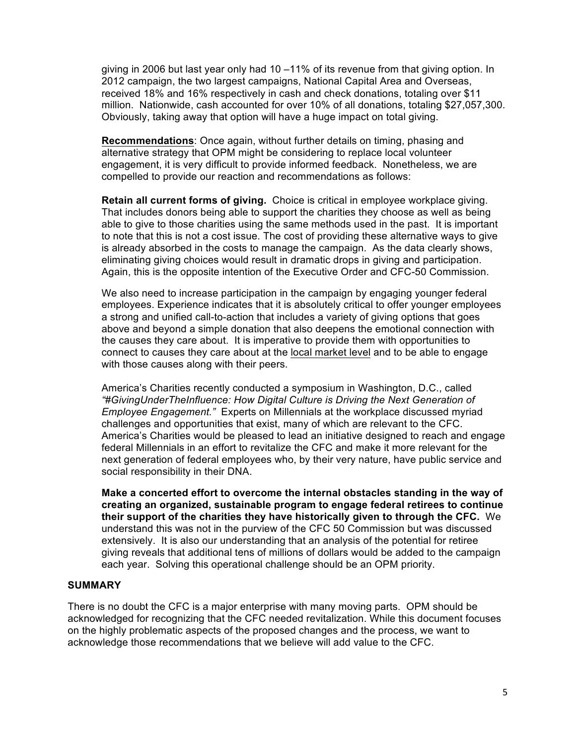giving in 2006 but last year only had 10 –11% of its revenue from that giving option. In 2012 campaign, the two largest campaigns, National Capital Area and Overseas, received 18% and 16% respectively in cash and check donations, totaling over \$11 million. Nationwide, cash accounted for over 10% of all donations, totaling \$27,057,300. Obviously, taking away that option will have a huge impact on total giving.

**Recommendations**: Once again, without further details on timing, phasing and alternative strategy that OPM might be considering to replace local volunteer engagement, it is very difficult to provide informed feedback. Nonetheless, we are compelled to provide our reaction and recommendations as follows:

**Retain all current forms of giving.** Choice is critical in employee workplace giving. That includes donors being able to support the charities they choose as well as being able to give to those charities using the same methods used in the past. It is important to note that this is not a cost issue. The cost of providing these alternative ways to give is already absorbed in the costs to manage the campaign. As the data clearly shows, eliminating giving choices would result in dramatic drops in giving and participation. Again, this is the opposite intention of the Executive Order and CFC-50 Commission.

We also need to increase participation in the campaign by engaging younger federal employees. Experience indicates that it is absolutely critical to offer younger employees a strong and unified call-to-action that includes a variety of giving options that goes above and beyond a simple donation that also deepens the emotional connection with the causes they care about. It is imperative to provide them with opportunities to connect to causes they care about at the local market level and to be able to engage with those causes along with their peers.

America's Charities recently conducted a symposium in Washington, D.C., called *"#GivingUnderTheInfluence: How Digital Culture is Driving the Next Generation of Employee Engagement."* Experts on Millennials at the workplace discussed myriad challenges and opportunities that exist, many of which are relevant to the CFC. America's Charities would be pleased to lead an initiative designed to reach and engage federal Millennials in an effort to revitalize the CFC and make it more relevant for the next generation of federal employees who, by their very nature, have public service and social responsibility in their DNA.

**Make a concerted effort to overcome the internal obstacles standing in the way of creating an organized, sustainable program to engage federal retirees to continue their support of the charities they have historically given to through the CFC.** We understand this was not in the purview of the CFC 50 Commission but was discussed extensively. It is also our understanding that an analysis of the potential for retiree giving reveals that additional tens of millions of dollars would be added to the campaign each year. Solving this operational challenge should be an OPM priority.

## **SUMMARY**

There is no doubt the CFC is a major enterprise with many moving parts. OPM should be acknowledged for recognizing that the CFC needed revitalization. While this document focuses on the highly problematic aspects of the proposed changes and the process, we want to acknowledge those recommendations that we believe will add value to the CFC.